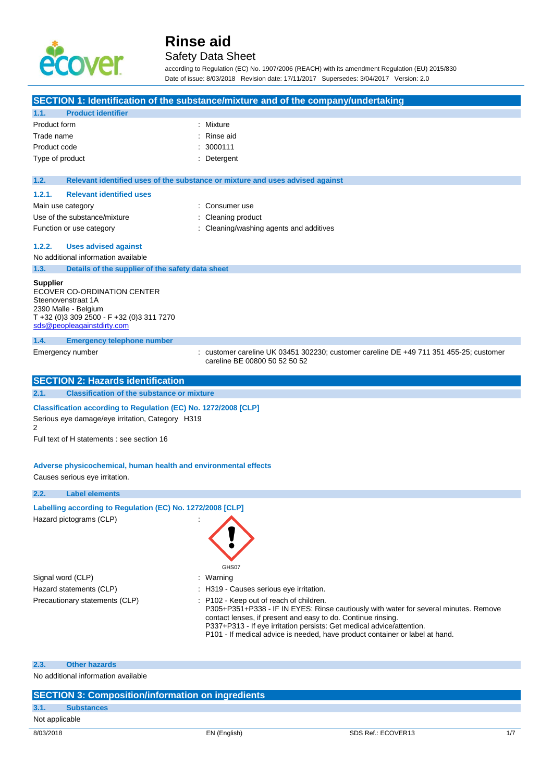

### Safety Data Sheet

according to Regulation (EC) No. 1907/2006 (REACH) with its amendment Regulation (EU) 2015/830 Date of issue: 8/03/2018 Revision date: 17/11/2017 Supersedes: 3/04/2017 Version: 2.0

|                 |                                                                                                                                                                   | SECTION 1: Identification of the substance/mixture and of the company/undertaking                                                                                                                                                                                                                                                                        |
|-----------------|-------------------------------------------------------------------------------------------------------------------------------------------------------------------|----------------------------------------------------------------------------------------------------------------------------------------------------------------------------------------------------------------------------------------------------------------------------------------------------------------------------------------------------------|
| 1.1.            | <b>Product identifier</b>                                                                                                                                         |                                                                                                                                                                                                                                                                                                                                                          |
| Product form    |                                                                                                                                                                   | : Mixture                                                                                                                                                                                                                                                                                                                                                |
| Trade name      |                                                                                                                                                                   | Rinse aid                                                                                                                                                                                                                                                                                                                                                |
| Product code    |                                                                                                                                                                   | 3000111                                                                                                                                                                                                                                                                                                                                                  |
| Type of product |                                                                                                                                                                   | Detergent                                                                                                                                                                                                                                                                                                                                                |
| 1.2.            |                                                                                                                                                                   | Relevant identified uses of the substance or mixture and uses advised against                                                                                                                                                                                                                                                                            |
| 1.2.1.          | <b>Relevant identified uses</b>                                                                                                                                   |                                                                                                                                                                                                                                                                                                                                                          |
|                 | Main use category                                                                                                                                                 | Consumer use                                                                                                                                                                                                                                                                                                                                             |
|                 | Use of the substance/mixture                                                                                                                                      | Cleaning product                                                                                                                                                                                                                                                                                                                                         |
|                 | Function or use category                                                                                                                                          | Cleaning/washing agents and additives                                                                                                                                                                                                                                                                                                                    |
| 1.2.2.          | <b>Uses advised against</b>                                                                                                                                       |                                                                                                                                                                                                                                                                                                                                                          |
|                 | No additional information available                                                                                                                               |                                                                                                                                                                                                                                                                                                                                                          |
| 1.3.            | Details of the supplier of the safety data sheet                                                                                                                  |                                                                                                                                                                                                                                                                                                                                                          |
| <b>Supplier</b> | ECOVER CO-ORDINATION CENTER<br>Steenovenstraat 1A<br>2390 Malle - Belgium<br>T +32 (0)3 309 2500 - F +32 (0)3 311 7270<br>sds@peopleagainstdirty.com              |                                                                                                                                                                                                                                                                                                                                                          |
| 1.4.            | <b>Emergency telephone number</b>                                                                                                                                 |                                                                                                                                                                                                                                                                                                                                                          |
|                 | Emergency number                                                                                                                                                  | : customer careline UK 03451 302230; customer careline DE +49 711 351 455-25; customer<br>careline BE 00800 50 52 50 52                                                                                                                                                                                                                                  |
|                 |                                                                                                                                                                   |                                                                                                                                                                                                                                                                                                                                                          |
|                 | <b>SECTION 2: Hazards identification</b>                                                                                                                          |                                                                                                                                                                                                                                                                                                                                                          |
| 2.1.            | <b>Classification of the substance or mixture</b>                                                                                                                 |                                                                                                                                                                                                                                                                                                                                                          |
| 2               | Classification according to Regulation (EC) No. 1272/2008 [CLP]<br>Serious eye damage/eye irritation, Category H319<br>Full text of H statements : see section 16 |                                                                                                                                                                                                                                                                                                                                                          |
|                 | Adverse physicochemical, human health and environmental effects<br>Causes serious eye irritation.                                                                 |                                                                                                                                                                                                                                                                                                                                                          |
| 2.2.            | <b>Label elements</b>                                                                                                                                             |                                                                                                                                                                                                                                                                                                                                                          |
|                 |                                                                                                                                                                   |                                                                                                                                                                                                                                                                                                                                                          |
|                 | Labelling according to Regulation (EC) No. 1272/2008 [CLP]<br>Hazard pictograms (CLP)                                                                             | GHS07                                                                                                                                                                                                                                                                                                                                                    |
|                 | Signal word (CLP)                                                                                                                                                 | Warning                                                                                                                                                                                                                                                                                                                                                  |
|                 | Hazard statements (CLP)                                                                                                                                           | : H319 - Causes serious eye irritation.                                                                                                                                                                                                                                                                                                                  |
|                 | Precautionary statements (CLP)                                                                                                                                    | : P102 - Keep out of reach of children.<br>P305+P351+P338 - IF IN EYES: Rinse cautiously with water for several minutes. Remove<br>contact lenses, if present and easy to do. Continue rinsing.<br>P337+P313 - If eye irritation persists: Get medical advice/attention.<br>P101 - If medical advice is needed, have product container or label at hand. |
| 2.3.            | <b>Other hazards</b>                                                                                                                                              |                                                                                                                                                                                                                                                                                                                                                          |

|           | <b>SECTION 3: Composition/information on ingredients</b> |              |                    |     |
|-----------|----------------------------------------------------------|--------------|--------------------|-----|
| 3.1.      | <b>Substances</b>                                        |              |                    |     |
|           | Not applicable                                           |              |                    |     |
| 8/03/2018 |                                                          | EN (English) | SDS Ref.: ECOVER13 | 1/7 |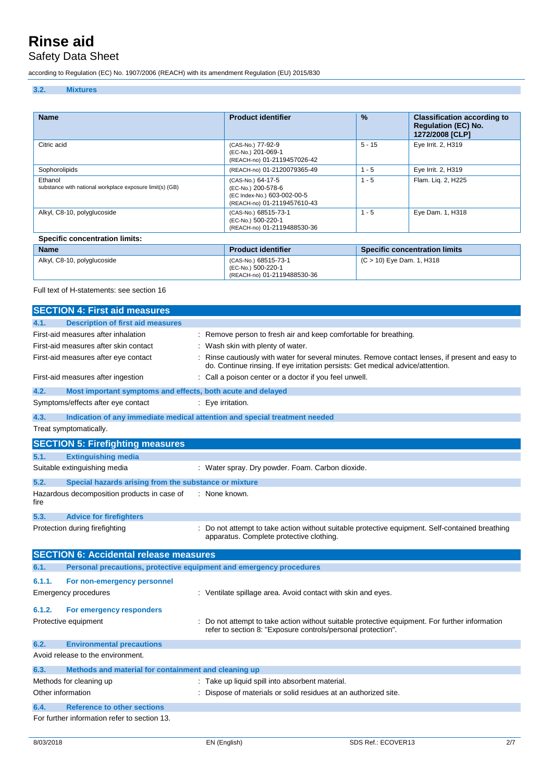### Safety Data Sheet

according to Regulation (EC) No. 1907/2006 (REACH) with its amendment Regulation (EU) 2015/830

#### **3.2. Mixtures**

| <b>Name</b>                                                         | <b>Product identifier</b>                                                                             | $\frac{9}{6}$             | <b>Classification according to</b><br><b>Regulation (EC) No.</b><br>1272/2008 [CLP] |
|---------------------------------------------------------------------|-------------------------------------------------------------------------------------------------------|---------------------------|-------------------------------------------------------------------------------------|
| Citric acid                                                         | (CAS-No.) 77-92-9<br>(EC-No.) 201-069-1<br>(REACH-no) 01-2119457026-42                                | $5 - 15$                  | Eye Irrit. 2, H319                                                                  |
| Sophorolipids                                                       | (REACH-no) 01-2120079365-49                                                                           | $1 - 5$                   | Eye Irrit. 2, H319                                                                  |
| Ethanol<br>substance with national workplace exposure limit(s) (GB) | (CAS-No.) 64-17-5<br>(EC-No.) 200-578-6<br>(EC Index-No.) 603-002-00-5<br>(REACH-no) 01-2119457610-43 | $1 - 5$                   | Flam. Lig. 2, H225                                                                  |
| Alkyl, C8-10, polyglucoside                                         | (CAS-No.) 68515-73-1<br>(EC-No.) 500-220-1<br>(REACH-no) 01-2119488530-36                             | $1 - 5$                   | Eye Dam. 1, H318                                                                    |
| <b>Specific concentration limits:</b>                               |                                                                                                       |                           |                                                                                     |
| <b>Name</b>                                                         | <b>Product identifier</b>                                                                             |                           | <b>Specific concentration limits</b>                                                |
| Alkyl, C8-10, polyglucoside                                         | (CAS-No.) 68515-73-1                                                                                  | (C > 10) Eye Dam. 1, H318 |                                                                                     |

(EC-No.) 500-220-1

(REACH-no) 01-2119488530-36

Full text of H-statements: see section 16

|        | <b>SECTION 4: First aid measures</b>                                |                                                                                                                                                                                   |
|--------|---------------------------------------------------------------------|-----------------------------------------------------------------------------------------------------------------------------------------------------------------------------------|
| 4.1.   | <b>Description of first aid measures</b>                            |                                                                                                                                                                                   |
|        | First-aid measures after inhalation                                 | Remove person to fresh air and keep comfortable for breathing.                                                                                                                    |
|        | First-aid measures after skin contact                               | Wash skin with plenty of water.                                                                                                                                                   |
|        | First-aid measures after eye contact                                | Rinse cautiously with water for several minutes. Remove contact lenses, if present and easy to<br>do. Continue rinsing. If eye irritation persists: Get medical advice/attention. |
|        | First-aid measures after ingestion                                  | Call a poison center or a doctor if you feel unwell.                                                                                                                              |
| 4.2.   | Most important symptoms and effects, both acute and delayed         |                                                                                                                                                                                   |
|        | Symptoms/effects after eye contact                                  | Eye irritation.                                                                                                                                                                   |
| 4.3.   |                                                                     | Indication of any immediate medical attention and special treatment needed                                                                                                        |
|        | Treat symptomatically.                                              |                                                                                                                                                                                   |
|        | <b>SECTION 5: Firefighting measures</b>                             |                                                                                                                                                                                   |
| 5.1.   | <b>Extinguishing media</b>                                          |                                                                                                                                                                                   |
|        | Suitable extinguishing media                                        | : Water spray. Dry powder. Foam. Carbon dioxide.                                                                                                                                  |
| 5.2.   | Special hazards arising from the substance or mixture               |                                                                                                                                                                                   |
| fire   | Hazardous decomposition products in case of                         | : None known.                                                                                                                                                                     |
| 5.3.   | <b>Advice for firefighters</b>                                      |                                                                                                                                                                                   |
|        | Protection during firefighting                                      | Do not attempt to take action without suitable protective equipment. Self-contained breathing<br>apparatus. Complete protective clothing.                                         |
|        | <b>SECTION 6: Accidental release measures</b>                       |                                                                                                                                                                                   |
| 6.1.   | Personal precautions, protective equipment and emergency procedures |                                                                                                                                                                                   |
| 6.1.1. | For non-emergency personnel                                         |                                                                                                                                                                                   |
|        | <b>Emergency procedures</b>                                         | : Ventilate spillage area. Avoid contact with skin and eyes.                                                                                                                      |
| 6.1.2. | For emergency responders                                            |                                                                                                                                                                                   |
|        | Protective equipment                                                | Do not attempt to take action without suitable protective equipment. For further information<br>refer to section 8: "Exposure controls/personal protection".                      |
| 6.2.   | <b>Environmental precautions</b>                                    |                                                                                                                                                                                   |
|        | Avoid release to the environment.                                   |                                                                                                                                                                                   |
| 6.3.   | Methods and material for containment and cleaning up                |                                                                                                                                                                                   |
|        | Methods for cleaning up                                             | Take up liquid spill into absorbent material.                                                                                                                                     |
|        | Other information                                                   | Dispose of materials or solid residues at an authorized site.                                                                                                                     |
| 6.4.   | <b>Reference to other sections</b>                                  |                                                                                                                                                                                   |
|        | For further information refer to section 13.                        |                                                                                                                                                                                   |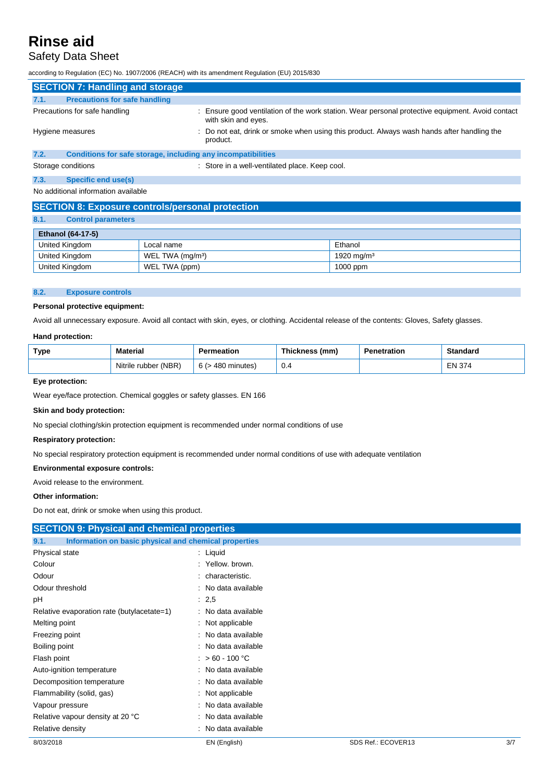### Safety Data Sheet

according to Regulation (EC) No. 1907/2006 (REACH) with its amendment Regulation (EU) 2015/830

|                               | <b>SECTION 7: Handling and storage</b>                       |  |                                                                                                                         |  |
|-------------------------------|--------------------------------------------------------------|--|-------------------------------------------------------------------------------------------------------------------------|--|
| 7.1.                          | <b>Precautions for safe handling</b>                         |  |                                                                                                                         |  |
| Precautions for safe handling |                                                              |  | : Ensure good ventilation of the work station. Wear personal protective equipment. Avoid contact<br>with skin and eyes. |  |
| Hygiene measures              |                                                              |  | : Do not eat, drink or smoke when using this product. Always wash hands after handling the<br>product.                  |  |
| 7.2.                          | Conditions for safe storage, including any incompatibilities |  |                                                                                                                         |  |
|                               | Storage conditions                                           |  | : Store in a well-ventilated place. Keep cool.                                                                          |  |
| 7.3.                          | Specific end use(s)                                          |  |                                                                                                                         |  |
|                               | No additional information available                          |  |                                                                                                                         |  |

### **SECTION 8: Exposure controls/personal protection**

| 8.1. | <b>Control parameters</b> |
|------|---------------------------|

| <b>Ethanol (64-17-5)</b> |                              |                        |  |  |
|--------------------------|------------------------------|------------------------|--|--|
| United Kingdom           | Local name                   | Ethanol                |  |  |
| United Kingdom           | WEL TWA (mg/m <sup>3</sup> ) | 1920 mg/m <sup>3</sup> |  |  |
| United Kingdom           | WEL TWA (ppm)                | 1000 ppm               |  |  |

#### **8.2. Exposure controls**

#### **Personal protective equipment:**

Avoid all unnecessary exposure. Avoid all contact with skin, eyes, or clothing. Accidental release of the contents: Gloves, Safety glasses.

#### **Hand protection:**

| <b>Type</b> | Material             | Permeation             | Thickness (mm) | Penetration | <b>Standard</b> |
|-------------|----------------------|------------------------|----------------|-------------|-----------------|
|             | Nitrile rubber (NBR) | $6$ ( $>$ 480 minutes) | 0.4            |             | EN 374          |

#### **Eye protection:**

Wear eye/face protection. Chemical goggles or safety glasses. EN 166

#### **Skin and body protection:**

No special clothing/skin protection equipment is recommended under normal conditions of use

#### **Respiratory protection:**

No special respiratory protection equipment is recommended under normal conditions of use with adequate ventilation

#### **Environmental exposure controls:**

Avoid release to the environment.

#### **Other information:**

Do not eat, drink or smoke when using this product.

| <b>SECTION 9: Physical and chemical properties</b>            |                     |                    |     |
|---------------------------------------------------------------|---------------------|--------------------|-----|
| Information on basic physical and chemical properties<br>9.1. |                     |                    |     |
| Physical state                                                | $:$ Liquid          |                    |     |
| Colour                                                        | : Yellow, brown.    |                    |     |
| Odour                                                         | characteristic.     |                    |     |
| Odour threshold                                               | No data available   |                    |     |
| рH                                                            | : 2,5               |                    |     |
| Relative evaporation rate (butylacetate=1)                    | : No data available |                    |     |
| Melting point                                                 | : Not applicable    |                    |     |
| Freezing point                                                | : No data available |                    |     |
| Boiling point                                                 | : No data available |                    |     |
| Flash point                                                   | $: >60 - 100 °C$    |                    |     |
| Auto-ignition temperature                                     | : No data available |                    |     |
| Decomposition temperature                                     | : No data available |                    |     |
| Flammability (solid, gas)                                     | : Not applicable    |                    |     |
| Vapour pressure                                               | : No data available |                    |     |
| Relative vapour density at 20 °C                              | No data available   |                    |     |
| Relative density                                              | No data available   |                    |     |
| 8/03/2018                                                     | EN (English)        | SDS Ref.: ECOVER13 | 3/7 |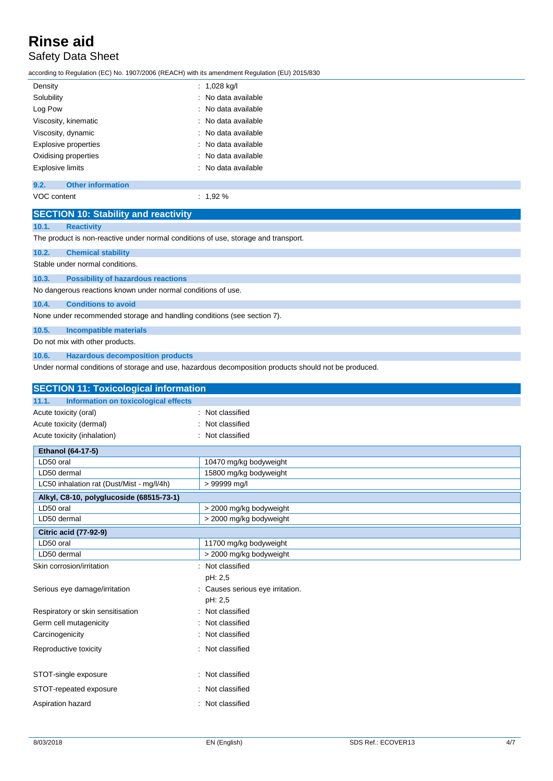Safety Data Sheet

according to Regulation (EC) No. 1907/2006 (REACH) with its amendment Regulation (EU) 2015/830

| Density                     | $: 1,028$ kg/l      |
|-----------------------------|---------------------|
| Solubility                  | : No data available |
| Log Pow                     | : No data available |
| Viscosity, kinematic        | : No data available |
| Viscosity, dynamic          | : No data available |
| <b>Explosive properties</b> | : No data available |
| Oxidising properties        | : No data available |
| <b>Explosive limits</b>     | : No data available |
|                             |                     |

#### **9.2. Other information**

VOC content : 1,92 %

|             | <b>SECTION 10: Stability and reactivity</b>                                        |                                                                                                      |  |  |
|-------------|------------------------------------------------------------------------------------|------------------------------------------------------------------------------------------------------|--|--|
| 10.1.       | <b>Reactivity</b>                                                                  |                                                                                                      |  |  |
|             | The product is non-reactive under normal conditions of use, storage and transport. |                                                                                                      |  |  |
| 10.2.       | <b>Chemical stability</b>                                                          |                                                                                                      |  |  |
|             | Stable under normal conditions.                                                    |                                                                                                      |  |  |
| 10.3.       | <b>Possibility of hazardous reactions</b>                                          |                                                                                                      |  |  |
|             | No dangerous reactions known under normal conditions of use.                       |                                                                                                      |  |  |
| 10.4.       | <b>Conditions to avoid</b>                                                         |                                                                                                      |  |  |
|             | None under recommended storage and handling conditions (see section 7).            |                                                                                                      |  |  |
| 10.5.       | <b>Incompatible materials</b>                                                      |                                                                                                      |  |  |
|             | Do not mix with other products.                                                    |                                                                                                      |  |  |
| 10.6.       | <b>Hazardous decomposition products</b>                                            |                                                                                                      |  |  |
|             |                                                                                    | Under normal conditions of storage and use, hazardous decomposition products should not be produced. |  |  |
|             | <b>SECTION 11: Toxicological information</b>                                       |                                                                                                      |  |  |
| 11.1.       | Information on toxicological effects                                               |                                                                                                      |  |  |
|             | Acute toxicity (oral)                                                              | Not classified                                                                                       |  |  |
|             | Acute toxicity (dermal)                                                            | Not classified                                                                                       |  |  |
|             | Acute toxicity (inhalation)                                                        | Not classified                                                                                       |  |  |
|             | Ethanol (64-17-5)                                                                  |                                                                                                      |  |  |
| LD50 oral   |                                                                                    | 10470 mg/kg bodyweight                                                                               |  |  |
| LD50 dermal |                                                                                    | 15800 mg/kg bodyweight                                                                               |  |  |
|             | LC50 inhalation rat (Dust/Mist - mg/l/4h)                                          | > 99999 mg/l                                                                                         |  |  |
|             | Alkyl, C8-10, polyglucoside (68515-73-1)                                           |                                                                                                      |  |  |
| I D50 oral  |                                                                                    | s 2000 ma/ka hodvweiaht                                                                              |  |  |

| LD50 oral                         | > 2000 mg/kg bodyweight          |
|-----------------------------------|----------------------------------|
| LD50 dermal                       | > 2000 mg/kg bodyweight          |
| <b>Citric acid (77-92-9)</b>      |                                  |
| LD50 oral                         | 11700 mg/kg bodyweight           |
| LD50 dermal                       | > 2000 mg/kg bodyweight          |
| Skin corrosion/irritation         | Not classified                   |
|                                   | pH: 2,5                          |
| Serious eye damage/irritation     | : Causes serious eye irritation. |
|                                   | pH: 2,5                          |
| Respiratory or skin sensitisation | : Not classified                 |
| Germ cell mutagenicity            | : Not classified                 |
| Carcinogenicity                   | : Not classified                 |
| Reproductive toxicity             | : Not classified                 |
|                                   |                                  |
| STOT-single exposure              | : Not classified                 |
| STOT-repeated exposure            | : Not classified                 |
| Aspiration hazard                 | : Not classified                 |
|                                   |                                  |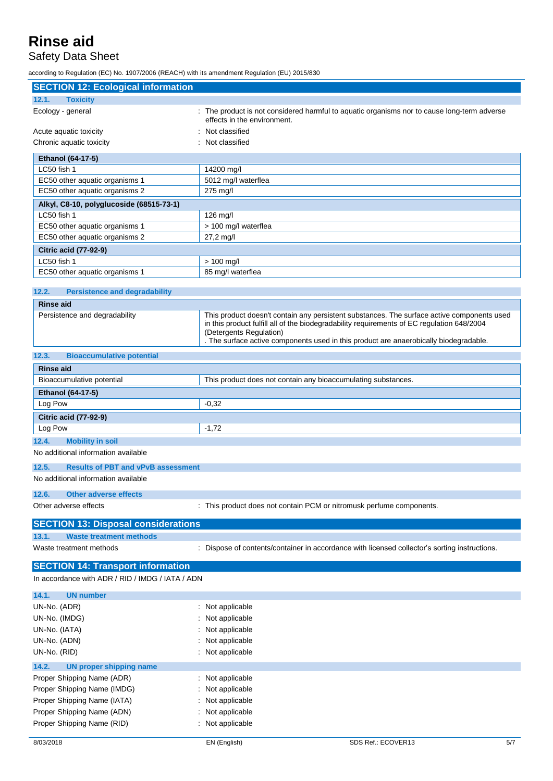### Safety Data Sheet

according to Regulation (EC) No. 1907/2006 (REACH) with its amendment Regulation (EU) 2015/830

| <b>SECTION 12: Ecological information</b>          |                                                                                                                                                                                                                                                                                                            |  |  |
|----------------------------------------------------|------------------------------------------------------------------------------------------------------------------------------------------------------------------------------------------------------------------------------------------------------------------------------------------------------------|--|--|
| 12.1.<br><b>Toxicity</b>                           |                                                                                                                                                                                                                                                                                                            |  |  |
| Ecology - general                                  | : The product is not considered harmful to aquatic organisms nor to cause long-term adverse                                                                                                                                                                                                                |  |  |
| Acute aquatic toxicity                             | effects in the environment.<br>Not classified                                                                                                                                                                                                                                                              |  |  |
| Chronic aquatic toxicity                           | Not classified                                                                                                                                                                                                                                                                                             |  |  |
|                                                    |                                                                                                                                                                                                                                                                                                            |  |  |
| Ethanol (64-17-5)<br>LC50 fish 1                   | 14200 mg/l                                                                                                                                                                                                                                                                                                 |  |  |
| EC50 other aquatic organisms 1                     | 5012 mg/l waterflea                                                                                                                                                                                                                                                                                        |  |  |
| EC50 other aquatic organisms 2                     | 275 mg/l                                                                                                                                                                                                                                                                                                   |  |  |
| Alkyl, C8-10, polyglucoside (68515-73-1)           |                                                                                                                                                                                                                                                                                                            |  |  |
| LC50 fish 1                                        | 126 mg/l                                                                                                                                                                                                                                                                                                   |  |  |
| EC50 other aquatic organisms 1                     | > 100 mg/l waterflea                                                                                                                                                                                                                                                                                       |  |  |
| EC50 other aquatic organisms 2                     | 27,2 mg/l                                                                                                                                                                                                                                                                                                  |  |  |
| <b>Citric acid (77-92-9)</b>                       |                                                                                                                                                                                                                                                                                                            |  |  |
| LC50 fish 1                                        | $> 100$ mg/l                                                                                                                                                                                                                                                                                               |  |  |
| EC50 other aquatic organisms 1                     | 85 mg/l waterflea                                                                                                                                                                                                                                                                                          |  |  |
|                                                    |                                                                                                                                                                                                                                                                                                            |  |  |
| 12.2.<br><b>Persistence and degradability</b>      |                                                                                                                                                                                                                                                                                                            |  |  |
| <b>Rinse aid</b>                                   |                                                                                                                                                                                                                                                                                                            |  |  |
| Persistence and degradability                      | This product doesn't contain any persistent substances. The surface active components used<br>in this product fulfill all of the biodegradability requirements of EC regulation 648/2004<br>(Detergents Regulation)<br>The surface active components used in this product are anaerobically biodegradable. |  |  |
| 12.3.<br><b>Bioaccumulative potential</b>          |                                                                                                                                                                                                                                                                                                            |  |  |
|                                                    |                                                                                                                                                                                                                                                                                                            |  |  |
| <b>Rinse aid</b>                                   |                                                                                                                                                                                                                                                                                                            |  |  |
| Bioaccumulative potential                          | This product does not contain any bioaccumulating substances.                                                                                                                                                                                                                                              |  |  |
| Ethanol (64-17-5)                                  |                                                                                                                                                                                                                                                                                                            |  |  |
| Log Pow                                            | $-0,32$                                                                                                                                                                                                                                                                                                    |  |  |
| <b>Citric acid (77-92-9)</b>                       |                                                                                                                                                                                                                                                                                                            |  |  |
| Log Pow                                            | $-1,72$                                                                                                                                                                                                                                                                                                    |  |  |
| 12.4.<br><b>Mobility in soil</b>                   |                                                                                                                                                                                                                                                                                                            |  |  |
| No additional information available                |                                                                                                                                                                                                                                                                                                            |  |  |
| 12.5.<br><b>Results of PBT and vPvB assessment</b> |                                                                                                                                                                                                                                                                                                            |  |  |
| No additional information available                |                                                                                                                                                                                                                                                                                                            |  |  |
| 12.6.<br><b>Other adverse effects</b>              |                                                                                                                                                                                                                                                                                                            |  |  |
| Other adverse effects                              | : This product does not contain PCM or nitromusk perfume components.                                                                                                                                                                                                                                       |  |  |
|                                                    |                                                                                                                                                                                                                                                                                                            |  |  |
| <b>SECTION 13: Disposal considerations</b>         |                                                                                                                                                                                                                                                                                                            |  |  |
| 13.1.<br><b>Waste treatment methods</b>            |                                                                                                                                                                                                                                                                                                            |  |  |
| Waste treatment methods                            | Dispose of contents/container in accordance with licensed collector's sorting instructions.                                                                                                                                                                                                                |  |  |
| <b>SECTION 14: Transport information</b>           |                                                                                                                                                                                                                                                                                                            |  |  |
| In accordance with ADR / RID / IMDG / IATA / ADN   |                                                                                                                                                                                                                                                                                                            |  |  |
|                                                    |                                                                                                                                                                                                                                                                                                            |  |  |
| 14.1.<br><b>UN number</b>                          |                                                                                                                                                                                                                                                                                                            |  |  |
| UN-No. (ADR)                                       | Not applicable                                                                                                                                                                                                                                                                                             |  |  |
| UN-No. (IMDG)                                      | Not applicable                                                                                                                                                                                                                                                                                             |  |  |
| UN-No. (IATA)                                      | Not applicable                                                                                                                                                                                                                                                                                             |  |  |
| UN-No. (ADN)                                       | Not applicable                                                                                                                                                                                                                                                                                             |  |  |
| UN-No. (RID)                                       | Not applicable                                                                                                                                                                                                                                                                                             |  |  |
| 14.2.<br><b>UN proper shipping name</b>            |                                                                                                                                                                                                                                                                                                            |  |  |
| Proper Shipping Name (ADR)                         | Not applicable                                                                                                                                                                                                                                                                                             |  |  |
| Proper Shipping Name (IMDG)                        | Not applicable                                                                                                                                                                                                                                                                                             |  |  |
| Proper Shipping Name (IATA)                        | Not applicable                                                                                                                                                                                                                                                                                             |  |  |
| Proper Shipping Name (ADN)                         | Not applicable                                                                                                                                                                                                                                                                                             |  |  |
| Proper Shipping Name (RID)                         | Not applicable                                                                                                                                                                                                                                                                                             |  |  |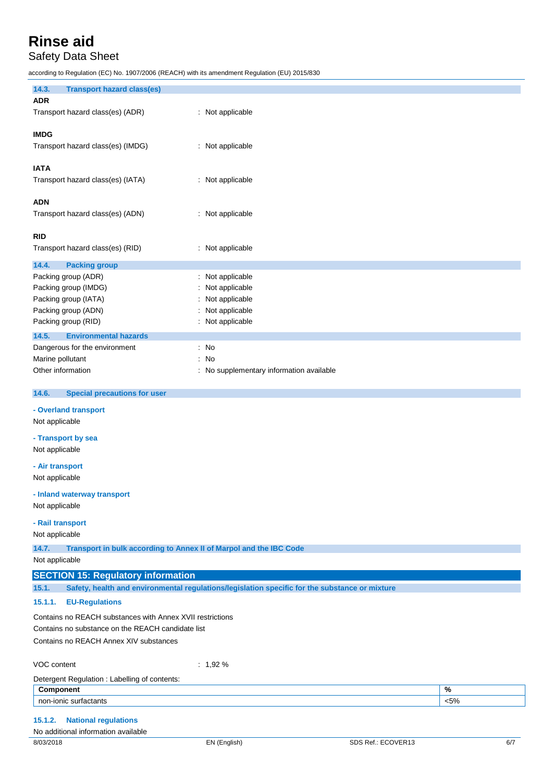### Safety Data Sheet

according to Regulation (EC) No. 1907/2006 (REACH) with its amendment Regulation (EU) 2015/830

| 14.3.<br><b>Transport hazard class(es)</b>                                                                     |                                                                                                |         |
|----------------------------------------------------------------------------------------------------------------|------------------------------------------------------------------------------------------------|---------|
| <b>ADR</b><br>Transport hazard class(es) (ADR)                                                                 | : Not applicable                                                                               |         |
| <b>IMDG</b><br>Transport hazard class(es) (IMDG)                                                               | : Not applicable                                                                               |         |
| <b>IATA</b><br>Transport hazard class(es) (IATA)                                                               | : Not applicable                                                                               |         |
| <b>ADN</b><br>Transport hazard class(es) (ADN)                                                                 | : Not applicable                                                                               |         |
| <b>RID</b><br>Transport hazard class(es) (RID)                                                                 | : Not applicable                                                                               |         |
| 14.4.<br><b>Packing group</b>                                                                                  |                                                                                                |         |
| Packing group (ADR)                                                                                            | Not applicable                                                                                 |         |
| Packing group (IMDG)                                                                                           | Not applicable                                                                                 |         |
| Packing group (IATA)                                                                                           | Not applicable                                                                                 |         |
| Packing group (ADN)                                                                                            | Not applicable                                                                                 |         |
| Packing group (RID)                                                                                            | Not applicable                                                                                 |         |
| 14.5.<br><b>Environmental hazards</b>                                                                          |                                                                                                |         |
| Dangerous for the environment                                                                                  | : No                                                                                           |         |
| Marine pollutant                                                                                               | No                                                                                             |         |
| Other information                                                                                              | : No supplementary information available                                                       |         |
|                                                                                                                |                                                                                                |         |
| 14.6.<br><b>Special precautions for user</b>                                                                   |                                                                                                |         |
| - Overland transport<br>Not applicable                                                                         |                                                                                                |         |
|                                                                                                                |                                                                                                |         |
| - Transport by sea                                                                                             |                                                                                                |         |
| Not applicable                                                                                                 |                                                                                                |         |
| - Air transport                                                                                                |                                                                                                |         |
| Not applicable                                                                                                 |                                                                                                |         |
|                                                                                                                |                                                                                                |         |
| - Inland waterway transport<br>Not applicable                                                                  |                                                                                                |         |
|                                                                                                                |                                                                                                |         |
| - Rail transport                                                                                               |                                                                                                |         |
| Not applicable                                                                                                 |                                                                                                |         |
| 14.7.<br>Transport in bulk according to Annex II of Marpol and the IBC Code                                    |                                                                                                |         |
| Not applicable                                                                                                 |                                                                                                |         |
| <b>SECTION 15: Regulatory information</b>                                                                      |                                                                                                |         |
| 15.1.                                                                                                          | Safety, health and environmental regulations/legislation specific for the substance or mixture |         |
| 15.1.1.<br><b>EU-Regulations</b>                                                                               |                                                                                                |         |
| Contains no REACH substances with Annex XVII restrictions<br>Contains no substance on the REACH candidate list |                                                                                                |         |
| Contains no REACH Annex XIV substances                                                                         |                                                                                                |         |
| VOC content                                                                                                    | : $1,92%$                                                                                      |         |
| Detergent Regulation : Labelling of contents:                                                                  |                                                                                                |         |
| Component                                                                                                      |                                                                                                | $\%$    |
| non-ionic surfactants                                                                                          |                                                                                                | $< 5\%$ |

#### **15.1.2. National regulations**

No additional information available